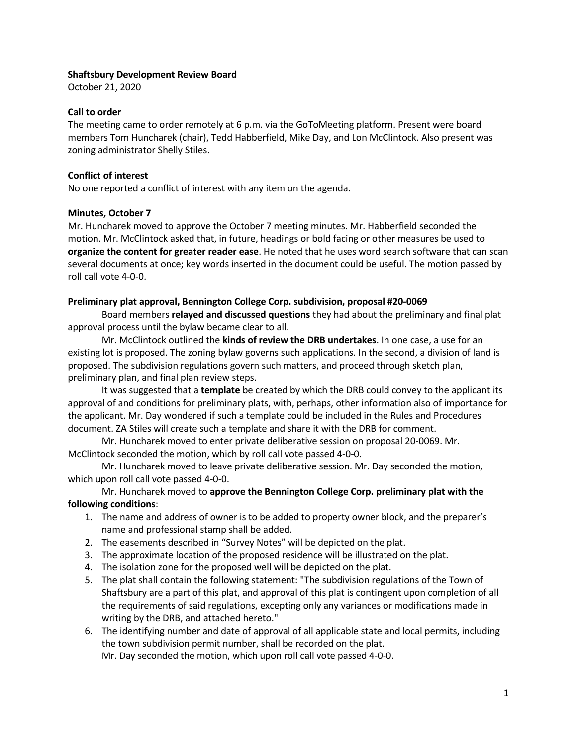### Shaftsbury Development Review Board

October 21, 2020

### Call to order

The meeting came to order remotely at 6 p.m. via the GoToMeeting platform. Present were board members Tom Huncharek (chair), Tedd Habberfield, Mike Day, and Lon McClintock. Also present was zoning administrator Shelly Stiles.

# Conflict of interest

No one reported a conflict of interest with any item on the agenda.

#### Minutes, October 7

Mr. Huncharek moved to approve the October 7 meeting minutes. Mr. Habberfield seconded the motion. Mr. McClintock asked that, in future, headings or bold facing or other measures be used to organize the content for greater reader ease. He noted that he uses word search software that can scan several documents at once; key words inserted in the document could be useful. The motion passed by roll call vote 4-0-0.

# Preliminary plat approval, Bennington College Corp. subdivision, proposal #20-0069

Board members relayed and discussed questions they had about the preliminary and final plat approval process until the bylaw became clear to all.

Mr. McClintock outlined the kinds of review the DRB undertakes. In one case, a use for an existing lot is proposed. The zoning bylaw governs such applications. In the second, a division of land is proposed. The subdivision regulations govern such matters, and proceed through sketch plan, preliminary plan, and final plan review steps.

It was suggested that a template be created by which the DRB could convey to the applicant its approval of and conditions for preliminary plats, with, perhaps, other information also of importance for the applicant. Mr. Day wondered if such a template could be included in the Rules and Procedures document. ZA Stiles will create such a template and share it with the DRB for comment.

Mr. Huncharek moved to enter private deliberative session on proposal 20-0069. Mr. McClintock seconded the motion, which by roll call vote passed 4-0-0.

Mr. Huncharek moved to leave private deliberative session. Mr. Day seconded the motion, which upon roll call vote passed 4-0-0.

# Mr. Huncharek moved to approve the Bennington College Corp. preliminary plat with the following conditions:

- 1. The name and address of owner is to be added to property owner block, and the preparer's name and professional stamp shall be added.
- 2. The easements described in "Survey Notes" will be depicted on the plat.
- 3. The approximate location of the proposed residence will be illustrated on the plat.
- 4. The isolation zone for the proposed well will be depicted on the plat.
- 5. The plat shall contain the following statement: "The subdivision regulations of the Town of Shaftsbury are a part of this plat, and approval of this plat is contingent upon completion of all the requirements of said regulations, excepting only any variances or modifications made in writing by the DRB, and attached hereto."
- 6. The identifying number and date of approval of all applicable state and local permits, including the town subdivision permit number, shall be recorded on the plat. Mr. Day seconded the motion, which upon roll call vote passed 4-0-0.